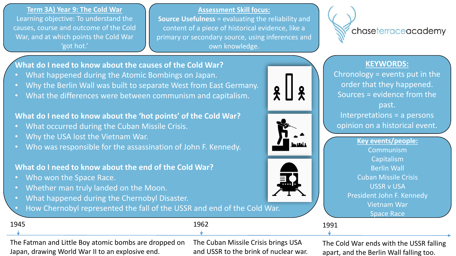**Term 3A) Year 9: The Cold War** Learning objective: To understand the causes, course and outcome of the Cold War, and at which points the Cold War 'got hot.'

**Assessment Skill focus:**

**Source Usefulness** = evaluating the reliability and content of a piece of historical evidence, like a primary or secondary source, using inferences and own knowledge.



### **KEYWORDS:**

Chronology = events put in the order that they happened. Sources = evidence from the past. Interpretations = a persons opinion on a historical event.

> **Key events/people:** Communism Capitalism Berlin Wall Cuban Missile Crisis USSR v USA President John F. Kennedy Vietnam War Space Race

 $\frac{2}{\lambda}$  $\mathbf{\mathbf{R}}$ ء ليہا جا

1991

## **What do I need to know about the causes of the Cold War?**

- What happened during the Atomic Bombings on Japan.
- Why the Berlin Wall was built to separate West from East Germany.
- What the differences were between communism and capitalism.

## **What do I need to know about the 'hot points' of the Cold War?**

- What occurred during the Cuban Missile Crisis.
- Why the USA lost the Vietnam War.
- Who was responsible for the assassination of John F. Kennedy.

# **What do I need to know about the end of the Cold War?**

- Who won the Space Race.
- Whether man truly landed on the Moon.
- What happened during the Chernobyl Disaster.
	- How Chernobyl represented the fall of the USSR and end of the Cold War.

| - -<br>. .<br>-- | $- - -$ |
|------------------|---------|
|                  |         |

The Fatman and Little Boy atomic bombs are dropped on Japan, drawing World War II to an explosive end.

The Cuban Missile Crisis brings USA and USSR to the brink of nuclear war.

The Cold War ends with the USSR falling apart, and the Berlin Wall falling too.